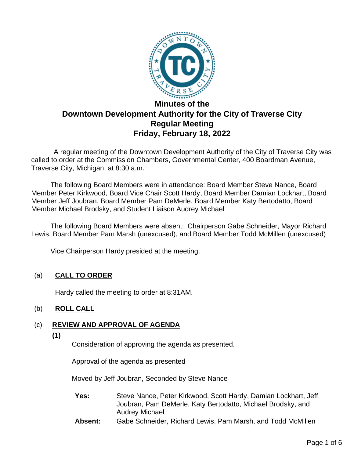

# **Downtown Development Authority for the City of Traverse City Regular Meeting Friday, February 18, 2022**

A regular meeting of the Downtown Development Authority of the City of Traverse City was called to order at the Commission Chambers, Governmental Center, 400 Boardman Avenue, Traverse City, Michigan, at 8:30 a.m.

The following Board Members were in attendance: Board Member Steve Nance, Board Member Peter Kirkwood, Board Vice Chair Scott Hardy, Board Member Damian Lockhart, Board Member Jeff Joubran, Board Member Pam DeMerle, Board Member Katy Bertodatto, Board Member Michael Brodsky, and Student Liaison Audrey Michael

The following Board Members were absent: Chairperson Gabe Schneider, Mayor Richard Lewis, Board Member Pam Marsh (unexcused), and Board Member Todd McMillen (unexcused)

Vice Chairperson Hardy presided at the meeting.

# (a) **CALL TO ORDER**

Hardy called the meeting to order at 8:31AM.

## (b) **ROLL CALL**

# (c) **REVIEW AND APPROVAL OF AGENDA**

**(1)**

Consideration of approving the agenda as presented.

Approval of the agenda as presented

Moved by Jeff Joubran, Seconded by Steve Nance

- **Yes:** Steve Nance, Peter Kirkwood, Scott Hardy, Damian Lockhart, Jeff Joubran, Pam DeMerle, Katy Bertodatto, Michael Brodsky, and Audrey Michael
- **Absent:** Gabe Schneider, Richard Lewis, Pam Marsh, and Todd McMillen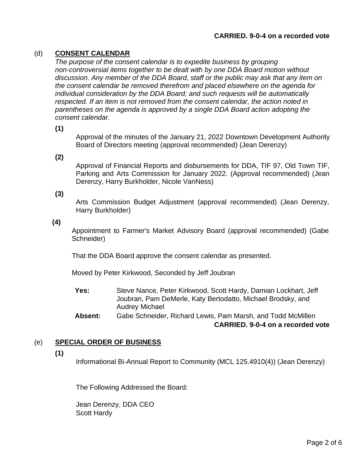#### **CARRIED. 9-0-4 on a recorded vote**

### (d) **CONSENT CALENDAR**

*The purpose of the consent calendar is to expedite business by grouping non-controversial items together to be dealt with by one DDA Board motion without discussion. Any member of the DDA Board, staff or the public may ask that any item on the consent calendar be removed therefrom and placed elsewhere on the agenda for individual consideration by the DDA Board; and such requests will be automatically respected. If an item is not removed from the consent calendar, the action noted in parentheses on the agenda is approved by a single DDA Board action adopting the consent calendar.*

**(1)**

Approval of the minutes of the January 21, 2022 Downtown Development Authority Board of Directors meeting (approval recommended) (Jean Derenzy)

**(2)**

Approval of Financial Reports and disbursements for DDA, TIF 97, Old Town TIF, Parking and Arts Commission for January 2022. (Approval recommended) (Jean Derenzy, Harry Burkholder, Nicole VanNess)

**(3)**

Arts Commission Budget Adjustment (approval recommended) (Jean Derenzy, Harry Burkholder)

**(4)**

Appointment to Farmer's Market Advisory Board (approval recommended) (Gabe Schneider)

That the DDA Board approve the consent calendar as presented.

Moved by Peter Kirkwood, Seconded by Jeff Joubran

- **Yes:** Steve Nance, Peter Kirkwood, Scott Hardy, Damian Lockhart, Jeff Joubran, Pam DeMerle, Katy Bertodatto, Michael Brodsky, and Audrey Michael
- **Absent:** Gabe Schneider, Richard Lewis, Pam Marsh, and Todd McMillen **CARRIED. 9-0-4 on a recorded vote**

#### (e) **SPECIAL ORDER OF BUSINESS**

**(1)**

Informational Bi-Annual Report to Community (MCL 125.4910(4)) (Jean Derenzy)

The Following Addressed the Board:

Jean Derenzy, DDA CEO Scott Hardy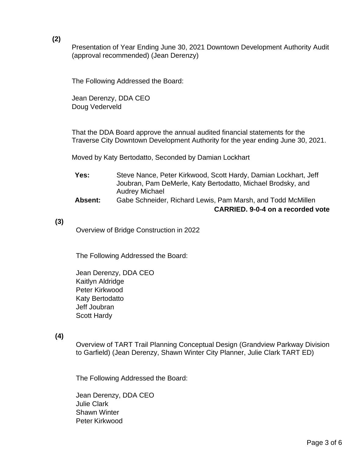**(2)**

Presentation of Year Ending June 30, 2021 Downtown Development Authority Audit (approval recommended) (Jean Derenzy)

The Following Addressed the Board:

Jean Derenzy, DDA CEO Doug Vederveld

That the DDA Board approve the annual audited financial statements for the Traverse City Downtown Development Authority for the year ending June 30, 2021.

Moved by Katy Bertodatto, Seconded by Damian Lockhart

| Yes:    | Steve Nance, Peter Kirkwood, Scott Hardy, Damian Lockhart, Jeff               |
|---------|-------------------------------------------------------------------------------|
|         | Joubran, Pam DeMerle, Katy Bertodatto, Michael Brodsky, and<br>Audrey Michael |
| Aheant: | Gaha Schneider Richard Lewis Dam Marsh, and Todd McMillen                     |

#### **Absent:** Gabe Schneider, Richard Lewis, Pam Marsh, and Todd McMillen **CARRIED. 9-0-4 on a recorded vote**

#### **(3)**

Overview of Bridge Construction in 2022

The Following Addressed the Board:

Jean Derenzy, DDA CEO Kaitlyn Aldridge Peter Kirkwood Katy Bertodatto Jeff Joubran Scott Hardy

#### **(4)**

Overview of TART Trail Planning Conceptual Design (Grandview Parkway Division to Garfield) (Jean Derenzy, Shawn Winter City Planner, Julie Clark TART ED)

The Following Addressed the Board:

Jean Derenzy, DDA CEO Julie Clark Shawn Winter Peter Kirkwood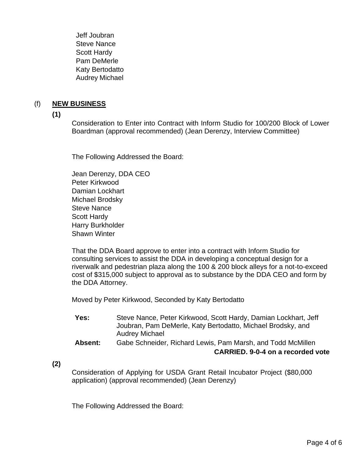Jeff Joubran Steve Nance Scott Hardy Pam DeMerle Katy Bertodatto Audrey Michael

## (f) **NEW BUSINESS**

**(1)**

Consideration to Enter into Contract with Inform Studio for 100/200 Block of Lower Boardman (approval recommended) (Jean Derenzy, Interview Committee)

The Following Addressed the Board:

Jean Derenzy, DDA CEO Peter Kirkwood Damian Lockhart Michael Brodsky Steve Nance Scott Hardy Harry Burkholder Shawn Winter

That the DDA Board approve to enter into a contract with Inform Studio for consulting services to assist the DDA in developing a conceptual design for a riverwalk and pedestrian plaza along the 100 & 200 block alleys for a not-to-exceed cost of \$315,000 subject to approval as to substance by the DDA CEO and form by the DDA Attorney.

Moved by Peter Kirkwood, Seconded by Katy Bertodatto

- **Yes:** Steve Nance, Peter Kirkwood, Scott Hardy, Damian Lockhart, Jeff Joubran, Pam DeMerle, Katy Bertodatto, Michael Brodsky, and Audrey Michael
- **Absent:** Gabe Schneider, Richard Lewis, Pam Marsh, and Todd McMillen **CARRIED. 9-0-4 on a recorded vote**

**(2)**

Consideration of Applying for USDA Grant Retail Incubator Project (\$80,000 application) (approval recommended) (Jean Derenzy)

The Following Addressed the Board: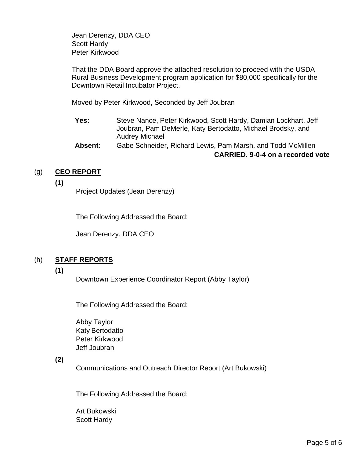Jean Derenzy, DDA CEO Scott Hardy Peter Kirkwood

That the DDA Board approve the attached resolution to proceed with the USDA Rural Business Development program application for \$80,000 specifically for the Downtown Retail Incubator Project.

Moved by Peter Kirkwood, Seconded by Jeff Joubran

- **Yes:** Steve Nance, Peter Kirkwood, Scott Hardy, Damian Lockhart, Jeff Joubran, Pam DeMerle, Katy Bertodatto, Michael Brodsky, and Audrey Michael
- **Absent:** Gabe Schneider, Richard Lewis, Pam Marsh, and Todd McMillen **CARRIED. 9-0-4 on a recorded vote**

## (g) **CEO REPORT**

**(1)**

Project Updates (Jean Derenzy)

The Following Addressed the Board:

Jean Derenzy, DDA CEO

## (h) **STAFF REPORTS**

#### **(1)**

Downtown Experience Coordinator Report (Abby Taylor)

The Following Addressed the Board:

Abby Taylor Katy Bertodatto Peter Kirkwood Jeff Joubran

## **(2)**

Communications and Outreach Director Report (Art Bukowski)

The Following Addressed the Board:

Art Bukowski Scott Hardy